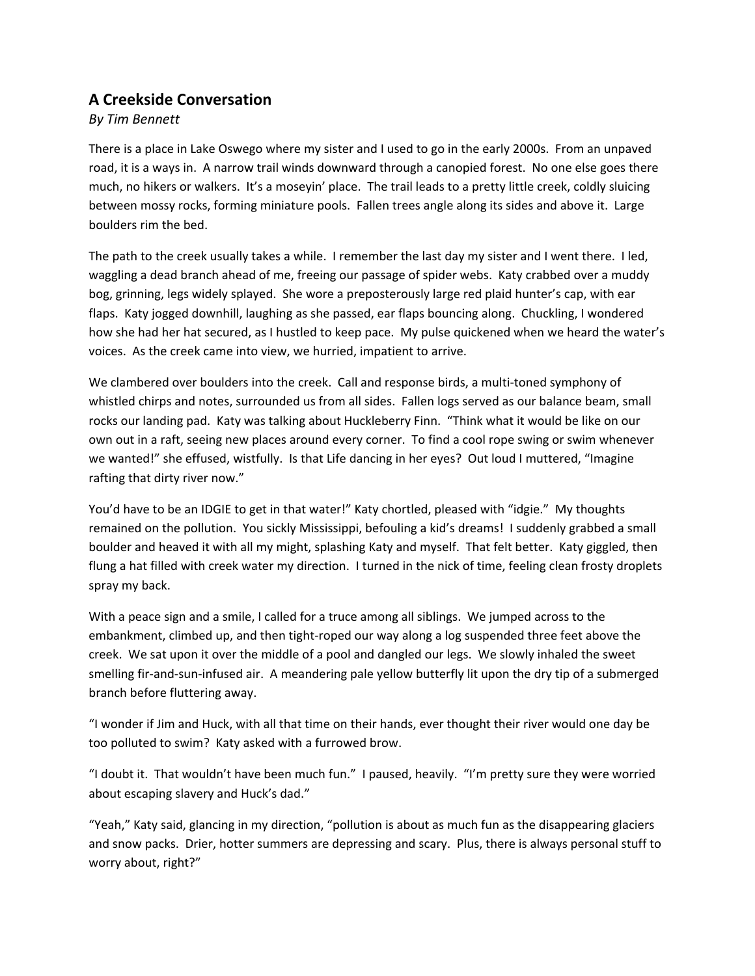## **A Creekside Conversation**

*By Tim Bennett*

There is a place in Lake Oswego where my sister and I used to go in the early 2000s. From an unpaved road, it is a ways in. A narrow trail winds downward through a canopied forest. No one else goes there much, no hikers or walkers. It's a moseyin' place. The trail leads to a pretty little creek, coldly sluicing between mossy rocks, forming miniature pools. Fallen trees angle along its sides and above it. Large boulders rim the bed.

The path to the creek usually takes a while. I remember the last day my sister and I went there. I led, waggling a dead branch ahead of me, freeing our passage of spider webs. Katy crabbed over a muddy bog, grinning, legs widely splayed. She wore a preposterously large red plaid hunter's cap, with ear flaps. Katy jogged downhill, laughing as she passed, ear flaps bouncing along. Chuckling, I wondered how she had her hat secured, as I hustled to keep pace. My pulse quickened when we heard the water's voices. As the creek came into view, we hurried, impatient to arrive.

We clambered over boulders into the creek. Call and response birds, a multi-toned symphony of whistled chirps and notes, surrounded us from all sides. Fallen logs served as our balance beam, small rocks our landing pad. Katy was talking about Huckleberry Finn. "Think what it would be like on our own out in a raft, seeing new places around every corner. To find a cool rope swing or swim whenever we wanted!" she effused, wistfully. Is that Life dancing in her eyes? Out loud I muttered, "Imagine rafting that dirty river now."

You'd have to be an IDGIE to get in that water!" Katy chortled, pleased with "idgie." My thoughts remained on the pollution. You sickly Mississippi, befouling a kid's dreams! I suddenly grabbed a small boulder and heaved it with all my might, splashing Katy and myself. That felt better. Katy giggled, then flung a hat filled with creek water my direction. I turned in the nick of time, feeling clean frosty droplets spray my back.

With a peace sign and a smile, I called for a truce among all siblings. We jumped across to the embankment, climbed up, and then tight‐roped our way along a log suspended three feet above the creek. We sat upon it over the middle of a pool and dangled our legs. We slowly inhaled the sweet smelling fir-and-sun-infused air. A meandering pale yellow butterfly lit upon the dry tip of a submerged branch before fluttering away.

"I wonder if Jim and Huck, with all that time on their hands, ever thought their river would one day be too polluted to swim? Katy asked with a furrowed brow.

"I doubt it. That wouldn't have been much fun." I paused, heavily. "I'm pretty sure they were worried about escaping slavery and Huck's dad."

"Yeah," Katy said, glancing in my direction, "pollution is about as much fun as the disappearing glaciers and snow packs. Drier, hotter summers are depressing and scary. Plus, there is always personal stuff to worry about, right?"